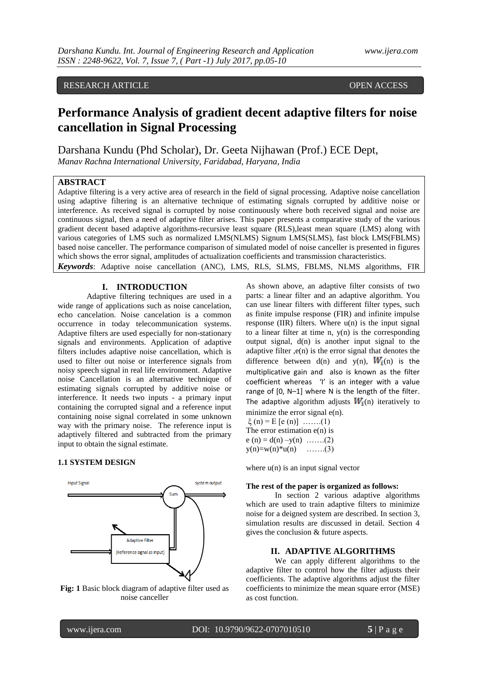# RESEARCH ARTICLE **CONTRACT AND ACCESS** OPEN ACCESS

# **Performance Analysis of gradient decent adaptive filters for noise cancellation in Signal Processing**

Darshana Kundu (Phd Scholar), Dr. Geeta Nijhawan (Prof.) ECE Dept, *Manav Rachna International University, Faridabad, Haryana, India*

## **ABSTRACT**

Adaptive filtering is a very active area of research in the field of signal processing. Adaptive noise cancellation using adaptive filtering is an alternative technique of estimating signals corrupted by additive noise or interference. As received signal is corrupted by noise continuously where both received signal and noise are continuous signal, then a need of adaptive filter arises. This paper presents a comparative study of the various gradient decent based adaptive algorithms-recursive least square (RLS),least mean square (LMS) along with various categories of LMS such as normalized LMS(NLMS) Signum LMS(SLMS), fast block LMS(FBLMS) based noise canceller. The performance comparison of simulated model of noise canceller is presented in figures which shows the error signal, amplitudes of actualization coefficients and transmission characteristics. *Keywords*: Adaptive noise cancellation (ANC), LMS, RLS, SLMS, FBLMS, NLMS algorithms, FIR

## **I. INTRODUCTION**

Adaptive filtering techniques are used in a wide range of applications such as noise cancelation, echo cancelation. Noise cancelation is a common occurrence in today telecommunication systems. Adaptive filters are used especially for non-stationary signals and environments. Application of adaptive filters includes adaptive noise cancellation, which is used to filter out noise or interference signals from noisy speech signal in real life environment. Adaptive noise Cancellation is an alternative technique of estimating signals corrupted by additive noise or interference. It needs two inputs - a primary input containing the corrupted signal and a reference input containing noise signal correlated in some unknown way with the primary noise. The reference input is adaptively filtered and subtracted from the primary input to obtain the signal estimate.

## **1.1 SYSTEM DESIGN**



**Fig: 1** Basic block diagram of adaptive filter used as noise canceller

As shown above, an adaptive filter consists of two parts: a linear filter and an adaptive algorithm. You can use linear filters with different filter types, such as finite impulse response (FIR) and infinite impulse response (IIR) filters. Where  $u(n)$  is the input signal to a linear filter at time n,  $y(n)$  is the corresponding output signal,  $d(n)$  is another input signal to the adaptive filter  $,e(n)$  is the error signal that denotes the difference between  $d(n)$  and  $y(n)$ ,  $W_i(n)$  is the multiplicative gain and also is known as the filter coefficient whereas 'I' is an integer with a value range of [0, N–1] where N is the length of the filter. The adaptive algorithm adjusts  $W_i(n)$  iteratively to minimize the error signal  $e(n)$ .

 $\xi(n) = E$  [e (n)] ……..(1) The error estimation  $e(n)$  is  $e(n) = d(n) - y(n)$  …….(2)  $y(n)=w(n)*u(n)$  …….(3)

where  $u(n)$  is an input signal vector

## **The rest of the paper is organized as follows:**

In section 2 various adaptive algorithms which are used to train adaptive filters to minimize noise for a deigned system are described. In section 3, simulation results are discussed in detail. Section 4 gives the conclusion & future aspects.

## **II. ADAPTIVE ALGORITHMS**

We can apply different algorithms to the adaptive filter to control how the filter adjusts their coefficients. The adaptive algorithms adjust the filter coefficients to minimize the mean square error (MSE) as cost function.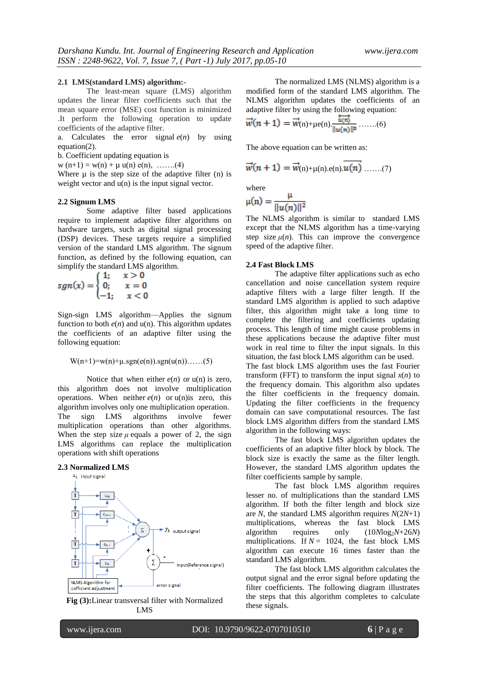#### **2.1 LMS(standard LMS) algorithm:-**

The least-mean square (LMS) algorithm updates the linear filter coefficients such that the mean square error (MSE) cost function is minimized .It perform the following operation to update coefficients of the adaptive filter.

a. Calculates the error signal  $e(n)$  by using equation(2).

b. Coefficient updating equation is

 $w(n+1) = w(n) + \mu u(n) e(n), \dots (4)$ 

Where  $\mu$  is the step size of the adaptive filter (n) is weight vector and  $u(n)$  is the input signal vector.

#### **2.2 Signum LMS**

Some adaptive filter based applications require to implement adaptive filter algorithms on hardware targets, such as digital signal processing (DSP) devices. These targets require a simplified version of the standard LMS algorithm. The signum function, as defined by the following equation, can simplify the standard LMS algorithm.

$$
sgn(x) = \begin{cases} 1; & x > 0 \\ 0; & x = 0 \\ -1; & x < 0 \end{cases}
$$

Sign-sign LMS algorithm—Applies the signum function to both  $e(n)$  and  $u(n)$ . This algorithm updates the coefficients of an adaptive filter using the following equation:

$$
W(n+1)=w(n)+\mu \cdot sgn(e(n)).sgn(u(n)).\ldots.(5)
$$

Notice that when either  $e(n)$  or  $u(n)$  is zero, this algorithm does not involve multiplication operations. When neither  $e(n)$  or  $u(n)$  is zero, this algorithm involves only one multiplication operation. The sign LMS algorithms involve fewer multiplication operations than other algorithms. When the step size  $\mu$  equals a power of 2, the sign LMS algorithms can replace the multiplication operations with shift operations

#### **2.3 Normalized LMS**



**Fig (3):**Linear transversal filter with Normalized LMS

The normalized LMS (NLMS) algorithm is a modified form of the standard LMS algorithm. The NLMS algorithm updates the coefficients of an adaptive filter by using the following equation:

$$
\vec{w}(n+1) = \vec{w}_{(n)+\mu e(n)} \frac{\vec{u}(n)}{\|u(n)\|^2} \dots \dots (6)
$$

The above equation can be written as:

$$
\vec{w}(n+1) = \vec{w}_{(n)+\mu(n).e(n)} \cdot \overline{u(n)} \dots \dots (7)
$$

where

$$
\mu(n) = \frac{\mu}{\|u(n)\|^2}
$$

The NLMS algorithm is similar to standard LMS except that the NLMS algorithm has a time-varying step size  $\mu(n)$ . This can improve the convergence speed of the adaptive filter.

#### **2.4 Fast Block LMS**

The adaptive filter applications such as echo cancellation and noise cancellation system require adaptive filters with a large filter length. If the standard LMS algorithm is applied to such adaptive filter, this algorithm might take a long time to complete the filtering and coefficients updating process. This length of time might cause problems in these applications because the adaptive filter must work in real time to filter the input signals. In this situation, the fast block LMS algorithm can be used. The fast block LMS algorithm uses the fast Fourier transform (FFT) to transform the input signal  $x(n)$  to the frequency domain. This algorithm also updates the filter coefficients in the frequency domain. Updating the filter coefficients in the frequency domain can save computational resources. The fast block LMS algorithm differs from the standard LMS algorithm in the following ways:

The fast block LMS algorithm updates the coefficients of an adaptive filter block by block. The block size is exactly the same as the filter length. However, the standard LMS algorithm updates the filter coefficients sample by sample.

The fast block LMS algorithm requires lesser no. of multiplications than the standard LMS algorithm. If both the filter length and block size are *N*, the standard LMS algorithm requires  $N(2N+1)$ multiplications, whereas the fast block LMS algorithm requires only  $(10Mog<sub>2</sub>N+26N)$ multiplications. If  $N = 1024$ , the fast block LMS algorithm can execute 16 times faster than the standard LMS algorithm.

The fast block LMS algorithm calculates the output signal and the error signal before updating the filter coefficients. The following diagram illustrates the steps that this algorithm completes to calculate these signals.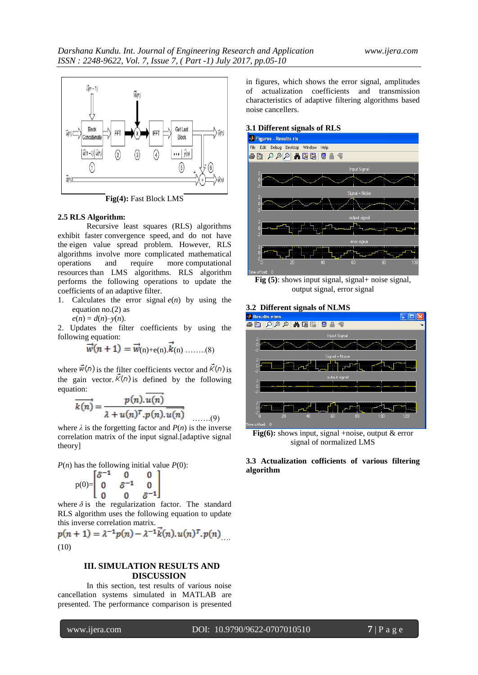

**Fig(4):** Fast Block LMS

## **2.5 RLS Algorithm:**

Recursive least squares (RLS) algorithms exhibit faster [convergence speed,](http://zone.ni.com/reference/en-XX/help/372357A-01/lvaftconcepts/aft_monitor_behave/#convergence) and do not have the [eigen value spread](http://zone.ni.com/reference/en-XX/help/372357A-01/lvaftconcepts/aft_algorithms/#eigenvalue) problem. However, RLS algorithms involve more complicated mathematical operations and require more [computational](http://zone.ni.com/reference/en-XX/help/372357A-01/lvaftconcepts/aft_choose_algorithm/)  [resources](http://zone.ni.com/reference/en-XX/help/372357A-01/lvaftconcepts/aft_choose_algorithm/) than LMS algorithms. RLS algorithm performs the following operations to update the coefficients of an adaptive filter.

- 1. Calculates the error signal  $e(n)$  by using the equation no.(2) as
	- $e(n) = d(n) y(n)$ .

2. Updates the filter coefficients by using the following equation:

$$
\vec{w}(n+1) = \vec{w}_{(n)+e(n)} \cdot \vec{k}_{(n) \dots \dots (8)}
$$

where  $\vec{w}(n)$  is the filter coefficients vector and  $\vec{K}(n)$  is the gain vector.  $\bar{\mathcal{K}}(n)$  is defined by the following equation:

$$
\overrightarrow{k(n)} = \frac{p(n).u(n)}{\lambda + u(n)^{T}.p(n).u(n)}
$$
......(9)

where  $\lambda$  is the forgetting factor and  $P(n)$  is the inverse correlation matrix of the input signal.[adaptive signal theory]

 $P(n)$  has the following initial value  $P(0)$ :

$$
p(0) = \begin{bmatrix} \delta^{-1} & 0 & 0 \\ 0 & \delta^{-1} & 0 \\ 0 & 0 & \delta^{-1} \end{bmatrix}
$$

where  $\delta$  is the regularization factor. The standard RLS algorithm uses the following equation to update this inverse correlation matrix.

 $p(n + 1) = \lambda^{-1} p(n) - \lambda^{-1} \vec{k}(n) \cdot u(n)^T \cdot p(n)$ (10)

# **III. SIMULATION RESULTS AND DISCUSSION**

In this section, test results of various noise cancellation systems simulated in MATLAB are presented. The performance comparison is presented

in figures, which shows the error signal, amplitudes of actualization coefficients and transmission characteristics of adaptive filtering algorithms based noise cancellers.





**Fig** (5): shows input signal, signal+ noise signal, output signal, error signal

#### **3.2 Different signals of NLMS**



**Fig(6):** shows input, signal +noise, output & error signal of normalized LMS

## **3.3 Actualization cofficients of various filtering algorithm**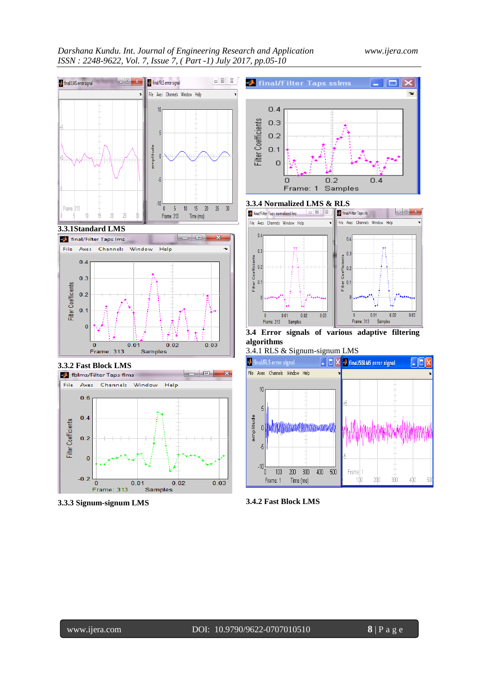# *Darshana Kundu. Int. Journal of Engineering Research and Application www.ijera.com ISSN : 2248-9622, Vol. 7, Issue 7, ( Part -1) July 2017, pp.05-10*









**3.3.3 Signum-signum LMS**



**3.3.4 Normalized LMS & RLS** 



**3.4 Error signals of various adaptive filtering algorithms**

3.4.1 RLS & Signum-signum LMS



**3.4.2 Fast Block LMS**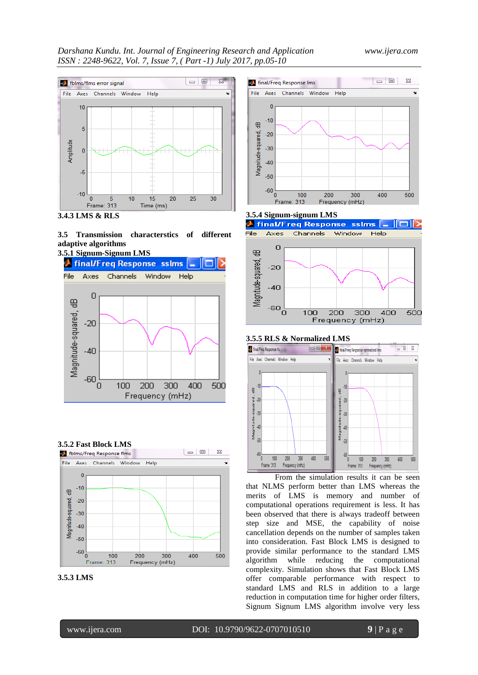

















## **3.5.5 RLS & Normalized LMS**



From the simulation results it can be seen that NLMS perform better than LMS whereas the merits of LMS is memory and number of computational operations requirement is less. It has been observed that there is always tradeoff between step size and MSE, the capability of noise cancellation depends on the number of samples taken into consideration. Fast Block LMS is designed to provide similar performance to the standard LMS algorithm while reducing the computational complexity. Simulation shows that Fast Block LMS offer comparable performance with respect to standard LMS and RLS in addition to a large reduction in computation time for higher order filters, Signum Signum LMS algorithm involve very less